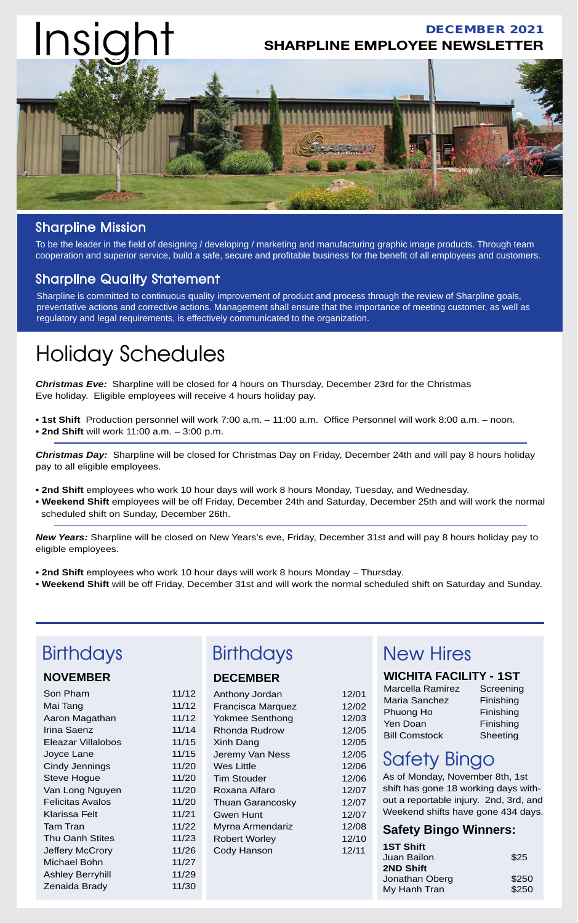

#### Sharpline Mission

To be the leader in the field of designing / developing / marketing and manufacturing graphic image products. Through team cooperation and superior service, build a safe, secure and profitable business for the benefit of all employees and customers.

#### Sharpline Quality Statement

Sharpline is committed to continuous quality improvement of product and process through the review of Sharpline goals, preventative actions and corrective actions. Management shall ensure that the importance of meeting customer, as well as regulatory and legal requirements, is effectively communicated to the organization.

## Holiday Schedules

*Christmas Eve:* Sharpline will be closed for 4 hours on Thursday, December 23rd for the Christmas Eve holiday. Eligible employees will receive 4 hours holiday pay.

**• 1st Shift** Production personnel will work 7:00 a.m. – 11:00 a.m. Office Personnel will work 8:00 a.m. – noon. **• 2nd Shift** will work 11:00 a.m. – 3:00 p.m.

*Christmas Day:* Sharpline will be closed for Christmas Day on Friday, December 24th and will pay 8 hours holiday pay to all eligible employees.

- **2nd Shift** employees who work 10 hour days will work 8 hours Monday, Tuesday, and Wednesday.
- **Weekend Shift** employees will be off Friday, December 24th and Saturday, December 25th and will work the normal scheduled shift on Sunday, December 26th.

*New Years:* Sharpline will be closed on New Years's eve, Friday, December 31st and will pay 8 hours holiday pay to eligible employees.

- **2nd Shift** employees who work 10 hour days will work 8 hours Monday Thursday.
- **Weekend Shift** will be off Friday, December 31st and will work the normal scheduled shift on Saturday and Sunday.

| <b>Birthdays</b>                                                                                                                                                                          |                                                                                                 | <b>Birthdays</b>                                                                                                                                                                                     |                                                                                                 | <b>New Hires</b>                                                                                                                                                                                                                                                     |                                                              |  |
|-------------------------------------------------------------------------------------------------------------------------------------------------------------------------------------------|-------------------------------------------------------------------------------------------------|------------------------------------------------------------------------------------------------------------------------------------------------------------------------------------------------------|-------------------------------------------------------------------------------------------------|----------------------------------------------------------------------------------------------------------------------------------------------------------------------------------------------------------------------------------------------------------------------|--------------------------------------------------------------|--|
| <b>NOVEMBER</b>                                                                                                                                                                           |                                                                                                 | <b>DECEMBER</b>                                                                                                                                                                                      |                                                                                                 | <b>WICHITA FACILITY - 1ST</b>                                                                                                                                                                                                                                        |                                                              |  |
| Son Pham<br>Mai Tang<br>Aaron Magathan<br>Irina Saenz<br>Eleazar Villalobos<br>Joyce Lane<br>Cindy Jennings<br>Steve Hogue<br>Van Long Nguyen<br><b>Felicitas Avalos</b><br>Klarissa Felt | 11/12<br>11/12<br>11/12<br>11/14<br>11/15<br>11/15<br>11/20<br>11/20<br>11/20<br>11/20<br>11/21 | Anthony Jordan<br>Francisca Marquez<br>Yokmee Senthong<br>Rhonda Rudrow<br>Xinh Dang<br>Jeremy Van Ness<br>Wes Little<br><b>Tim Stouder</b><br>Roxana Alfaro<br><b>Thuan Garancosky</b><br>Gwen Hunt | 12/01<br>12/02<br>12/03<br>12/05<br>12/05<br>12/05<br>12/06<br>12/06<br>12/07<br>12/07<br>12/07 | Marcella Ramirez<br>Maria Sanchez<br>Phuong Ho<br>Yen Doan<br><b>Bill Comstock</b><br><b>Safety Bingo</b><br>As of Monday, November 8th, 1st<br>shift has gone 18 working days with-<br>out a reportable injury. 2nd, 3rd, and<br>Weekend shifts have gone 434 days. | Screening<br>Finishing<br>Finishing<br>Finishing<br>Sheeting |  |
| Tam Tran<br>Thu Oanh Stites                                                                                                                                                               | 11/22                                                                                           | Myrna Armendariz                                                                                                                                                                                     | 12/08                                                                                           | <b>Safety Bingo Winners:</b>                                                                                                                                                                                                                                         |                                                              |  |
| Jeffery McCrory<br>Michael Bohn<br>Ashley Berryhill<br>Zenaida Brady                                                                                                                      | 11/23<br>11/26<br>11/27<br>11/29<br>11/30                                                       | <b>Robert Worley</b><br>Cody Hanson                                                                                                                                                                  | 12/10<br>12/11                                                                                  | <b>1ST Shift</b><br>Juan Bailon<br>2ND Shift<br>Jonathan Oberg<br>My Hanh Tran                                                                                                                                                                                       | \$25<br>\$250<br>\$250                                       |  |